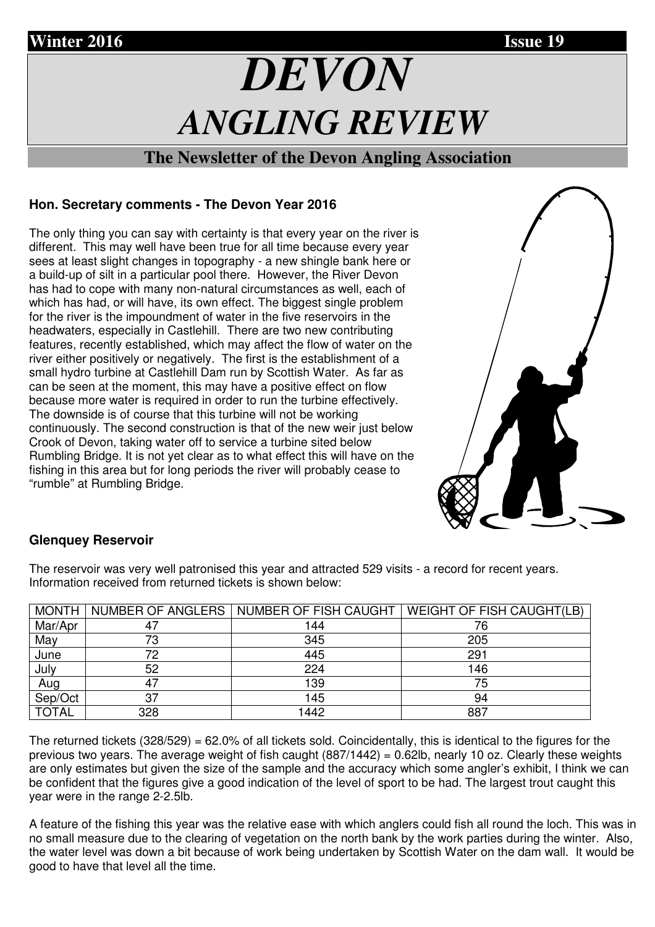# *DEVON ANGLING REVIEW*

# **The Newsletter of the Devon Angling Association**

# **Hon. Secretary comments - The Devon Year 2016**

The only thing you can say with certainty is that every year on the river is different. This may well have been true for all time because every year sees at least slight changes in topography - a new shingle bank here or a build-up of silt in a particular pool there. However, the River Devon has had to cope with many non-natural circumstances as well, each of which has had, or will have, its own effect. The biggest single problem for the river is the impoundment of water in the five reservoirs in the headwaters, especially in Castlehill. There are two new contributing features, recently established, which may affect the flow of water on the river either positively or negatively. The first is the establishment of a small hydro turbine at Castlehill Dam run by Scottish Water. As far as can be seen at the moment, this may have a positive effect on flow because more water is required in order to run the turbine effectively. The downside is of course that this turbine will not be working continuously. The second construction is that of the new weir just below Crook of Devon, taking water off to service a turbine sited below Rumbling Bridge. It is not yet clear as to what effect this will have on the fishing in this area but for long periods the river will probably cease to "rumble" at Rumbling Bridge.



# **Glenquey Reservoir**

The reservoir was very well patronised this year and attracted 529 visits - a record for recent years. Information received from returned tickets is shown below:

| <b>MONTH</b> |     | NUMBER OF ANGLERS   NUMBER OF FISH CAUGHT | <b>WEIGHT OF FISH CAUGHT(LB)</b> |
|--------------|-----|-------------------------------------------|----------------------------------|
| Mar/Apr      | 47  | 144                                       |                                  |
| May          | 73  | 345                                       | 205                              |
| June         | 72  | 445                                       | 291                              |
| July         | 52  | 224                                       | 146                              |
| Aug          | 47  | 139                                       | 75                               |
| Sep/Oct      | 37  | 145                                       | 94                               |
| <b>TOTAL</b> | 328 | 1442                                      | 887                              |

The returned tickets  $(328/529) = 62.0\%$  of all tickets sold. Coincidentally, this is identical to the figures for the previous two years. The average weight of fish caught (887/1442) = 0.62lb, nearly 10 oz. Clearly these weights are only estimates but given the size of the sample and the accuracy which some angler's exhibit, I think we can be confident that the figures give a good indication of the level of sport to be had. The largest trout caught this year were in the range 2-2.5lb.

A feature of the fishing this year was the relative ease with which anglers could fish all round the loch. This was in no small measure due to the clearing of vegetation on the north bank by the work parties during the winter. Also, the water level was down a bit because of work being undertaken by Scottish Water on the dam wall. It would be good to have that level all the time.